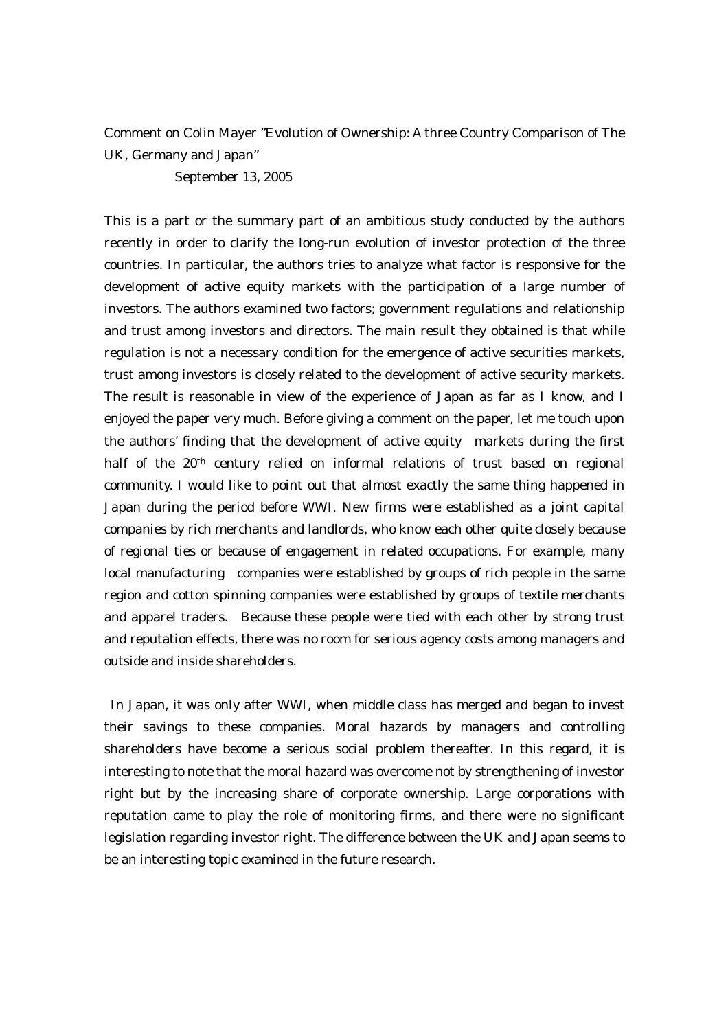## Comment on Colin Mayer "Evolution of Ownership: A three Country Comparison of The UK, Germany and Japan"

September 13, 2005

This is a part or the summary part of an ambitious study conducted by the authors recently in order to clarify the long-run evolution of investor protection of the three countries. In particular, the authors tries to analyze what factor is responsive for the development of active equity markets with the participation of a large number of investors. The authors examined two factors; government regulations and relationship and trust among investors and directors. The main result they obtained is that while regulation is not a necessary condition for the emergence of active securities markets, trust among investors is closely related to the development of active security markets. The result is reasonable in view of the experience of Japan as far as I know, and I enjoyed the paper very much. Before giving a comment on the paper, let me touch upon the authors' finding that the development of active equity markets during the first half of the 20th century relied on informal relations of trust based on regional community. I would like to point out that almost exactly the same thing happened in Japan during the period before WWI. New firms were established as a joint capital companies by rich merchants and landlords, who know each other quite closely because of regional ties or because of engagement in related occupations. For example, many local manufacturing companies were established by groups of rich people in the same region and cotton spinning companies were established by groups of textile merchants and apparel traders. Because these people were tied with each other by strong trust and reputation effects, there was no room for serious agency costs among managers and outside and inside shareholders.

 In Japan, it was only after WWI, when middle class has merged and began to invest their savings to these companies. Moral hazards by managers and controlling shareholders have become a serious social problem thereafter. In this regard, it is interesting to note that the moral hazard was overcome not by strengthening of investor right but by the increasing share of corporate ownership. Large corporations with reputation came to play the role of monitoring firms, and there were no significant legislation regarding investor right. The difference between the UK and Japan seems to be an interesting topic examined in the future research.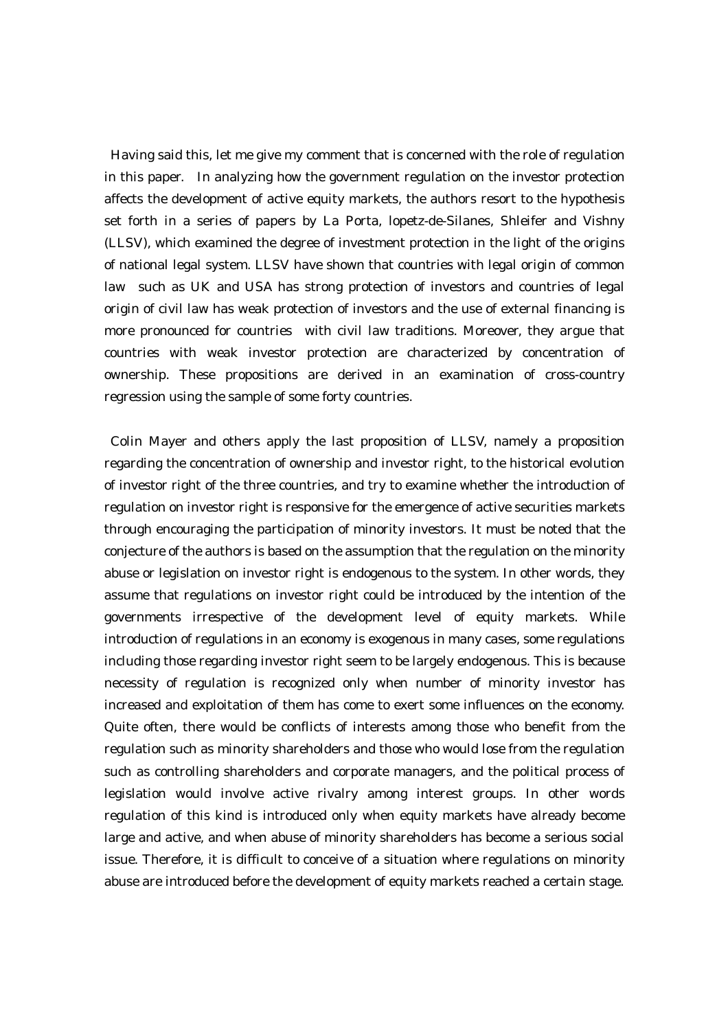Having said this, let me give my comment that is concerned with the role of regulation in this paper. In analyzing how the government regulation on the investor protection affects the development of active equity markets, the authors resort to the hypothesis set forth in a series of papers by La Porta, lopetz-de-Silanes, Shleifer and Vishny (LLSV), which examined the degree of investment protection in the light of the origins of national legal system. LLSV have shown that countries with legal origin of common law such as UK and USA has strong protection of investors and countries of legal origin of civil law has weak protection of investors and the use of external financing is more pronounced for countries with civil law traditions. Moreover, they argue that countries with weak investor protection are characterized by concentration of ownership. These propositions are derived in an examination of cross-country regression using the sample of some forty countries.

Colin Mayer and others apply the last proposition of LLSV, namely a proposition regarding the concentration of ownership and investor right, to the historical evolution of investor right of the three countries, and try to examine whether the introduction of regulation on investor right is responsive for the emergence of active securities markets through encouraging the participation of minority investors. It must be noted that the conjecture of the authors is based on the assumption that the regulation on the minority abuse or legislation on investor right is endogenous to the system. In other words, they assume that regulations on investor right could be introduced by the intention of the governments irrespective of the development level of equity markets. While introduction of regulations in an economy is exogenous in many cases, some regulations including those regarding investor right seem to be largely endogenous. This is because necessity of regulation is recognized only when number of minority investor has increased and exploitation of them has come to exert some influences on the economy. Quite often, there would be conflicts of interests among those who benefit from the regulation such as minority shareholders and those who would lose from the regulation such as controlling shareholders and corporate managers, and the political process of legislation would involve active rivalry among interest groups. In other words regulation of this kind is introduced only when equity markets have already become large and active, and when abuse of minority shareholders has become a serious social issue. Therefore, it is difficult to conceive of a situation where regulations on minority abuse are introduced before the development of equity markets reached a certain stage.